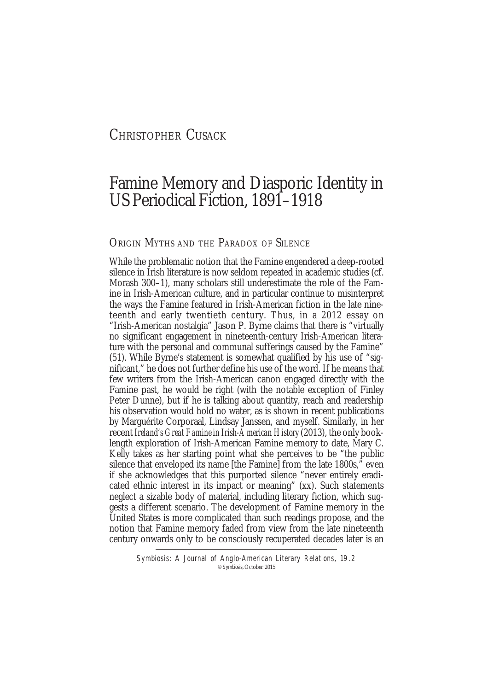# CHRISTOPHER CUSACK

# Famine Memory and Diasporic Identity in US Periodical Fiction, 1891–1918

# ORIGIN MYTHS AND THE PARADOX OF SILENCE

While the problematic notion that the Famine engendered a deep-rooted silence in Irish literature is now seldom repeated in academic studies (cf. Morash 300–1), many scholars still underestimate the role of the Famine in Irish-American culture, and in particular continue to misinterpret the ways the Famine featured in Irish-American fiction in the late nineteenth and early twentieth century. Thus, in a 2012 essay on "Irish-American nostalgia" Jason P. Byrne claims that there is "virtually no significant engagement in nineteenth-century Irish-American literature with the personal and communal sufferings caused by the Famine" (51). While Byrne's statement is somewhat qualified by his use of "significant," he does not further define his use of the word. If he means that few writers from the Irish-American canon engaged directly with the Famine past, he would be right (with the notable exception of Finley Peter Dunne), but if he is talking about quantity, reach and readership his observation would hold no water, as is shown in recent publications by Marguérite Corporaal, Lindsay Janssen, and myself. Similarly, in her recent *Ireland's Great Famine in Irish-American History* (2013), the only booklength exploration of Irish-American Famine memory to date, Mary C. Kelly takes as her starting point what she perceives to be "the public silence that enveloped its name [the Famine] from the late 1800s,<sup>3</sup> even if she acknowledges that this purported silence "never entirely eradicated ethnic interest in its impact or meaning" (xx). Such statements neglect a sizable body of material, including literary fiction, which suggests a different scenario. The development of Famine memory in the United States is more complicated than such readings propose, and the notion that Famine memory faded from view from the late nineteenth century onwards only to be consciously recuperated decades later is an

Symbiosis: A Journal of Anglo-American Literary Relations, 19.2 © Symbiosis, October 2015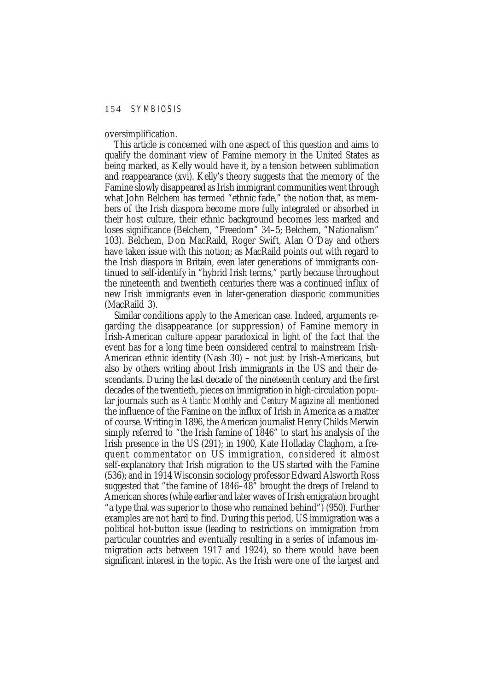oversimplification.

This article is concerned with one aspect of this question and aims to qualify the dominant view of Famine memory in the United States as being marked, as Kelly would have it, by a tension between sublimation and reappearance (xvi). Kelly's theory suggests that the memory of the Famine slowly disappeared as Irish immigrant communities went through what John Belchem has termed "ethnic fade," the notion that, as members of the Irish diaspora become more fully integrated or absorbed in their host culture, their ethnic background becomes less marked and loses significance (Belchem, "Freedom" 34–5; Belchem, "Nationalism" 103). Belchem, Don MacRaild, Roger Swift, Alan O'Day and others have taken issue with this notion; as MacRaild points out with regard to the Irish diaspora in Britain, even later generations of immigrants continued to self-identify in "hybrid Irish terms," partly because throughout the nineteenth and twentieth centuries there was a continued influx of new Irish immigrants even in later-generation diasporic communities (MacRaild 3).

Similar conditions apply to the American case. Indeed, arguments regarding the disappearance (or suppression) of Famine memory in Irish-American culture appear paradoxical in light of the fact that the event has for a long time been considered central to mainstream Irish-American ethnic identity (Nash 30) – not just by Irish-Americans, but also by others writing about Irish immigrants in the US and their descendants. During the last decade of the nineteenth century and the first decades of the twentieth, pieces on immigration in high-circulation popular journals such as *Atlantic Monthly* and *Century Magazine* all mentioned the influence of the Famine on the influx of Irish in America as a matter of course. Writing in 1896, the American journalist Henry Childs Merwin simply referred to "the Irish famine of 1846" to start his analysis of the Irish presence in the US (291); in 1900, Kate Holladay Claghorn, a frequent commentator on US immigration, considered it almost self-explanatory that Irish migration to the US started with the Famine (536); and in 1914 Wisconsin sociology professor Edward Alsworth Ross suggested that "the famine of 1846–48" brought the dregs of Ireland to American shores (while earlier and later waves of Irish emigration brought "a type that was superior to those who remained behind") (950). Further examples are not hard to find. During this period, US immigration was a political hot-button issue (leading to restrictions on immigration from particular countries and eventually resulting in a series of infamous immigration acts between 1917 and 1924), so there would have been significant interest in the topic. As the Irish were one of the largest and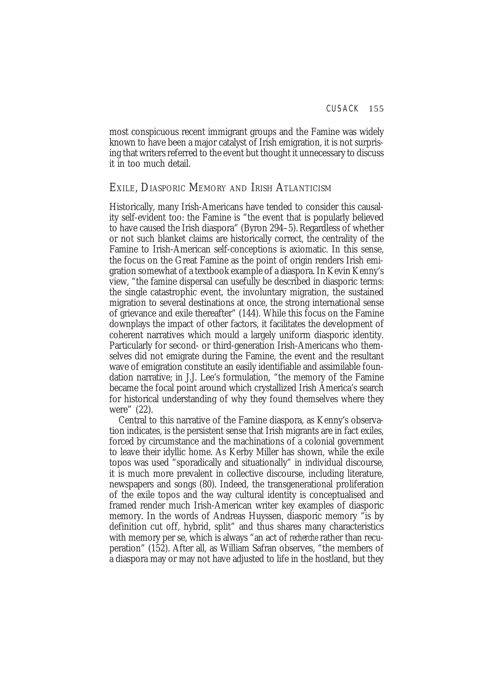most conspicuous recent immigrant groups and the Famine was widely known to have been a major catalyst of Irish emigration, it is not surprising that writers referred to the event but thought it unnecessary to discuss it in too much detail.

# EXILE, DIASPORIC MEMORY AND IRISH ATLANTICISM

Historically, many Irish-Americans have tended to consider this causality self-evident too: the Famine is "the event that is popularly believed to have caused the Irish diaspora" (Byron 294–5). Regardless of whether or not such blanket claims are historically correct, the centrality of the Famine to Irish-American self-conceptions is axiomatic. In this sense, the focus on the Great Famine as the point of origin renders Irish emigration somewhat of a textbook example of a diaspora. In Kevin Kenny's view, "the famine dispersal can usefully be described in diasporic terms: the single catastrophic event, the involuntary migration, the sustained migration to several destinations at once, the strong international sense of grievance and exile thereafter" (144). While this focus on the Famine downplays the impact of other factors, it facilitates the development of coherent narratives which mould a largely uniform diasporic identity. Particularly for second- or third-generation Irish-Americans who themselves did not emigrate during the Famine, the event and the resultant wave of emigration constitute an easily identifiable and assimilable foundation narrative; in J.J. Lee's formulation, "the memory of the Famine became the focal point around which crystallized Irish America's search for historical understanding of why they found themselves where they were" (22).

Central to this narrative of the Famine diaspora, as Kenny's observation indicates, is the persistent sense that Irish migrants are in fact exiles, forced by circumstance and the machinations of a colonial government to leave their idyllic home. As Kerby Miller has shown, while the exile topos was used "sporadically and situationally" in individual discourse, it is much more prevalent in collective discourse, including literature, newspapers and songs (80). Indeed, the transgenerational proliferation of the exile topos and the way cultural identity is conceptualised and framed render much Irish-American writer key examples of diasporic memory. In the words of Andreas Huyssen, diasporic memory "is by definition cut off, hybrid, split" and thus shares many characteristics with memory per se, which is always "an act of *recherche* rather than recuperation" (152). After all, as William Safran observes, "the members of a diaspora may or may not have adjusted to life in the hostland, but they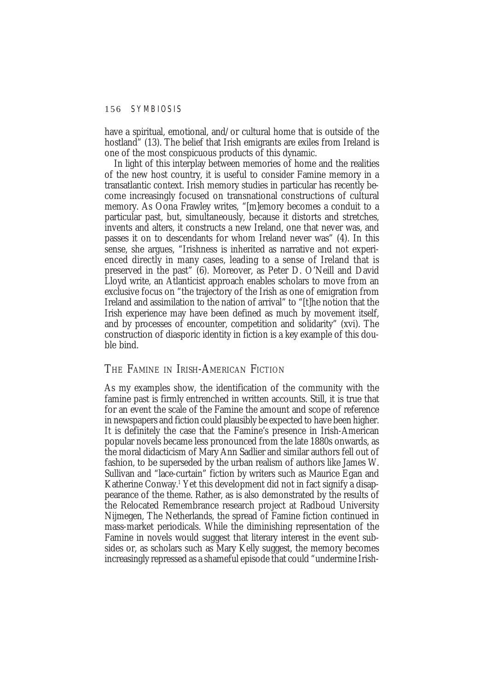have a spiritual, emotional, and/or cultural home that is outside of the hostland" (13). The belief that Irish emigrants are exiles from Ireland is one of the most conspicuous products of this dynamic.

In light of this interplay between memories of home and the realities of the new host country, it is useful to consider Famine memory in a transatlantic context. Irish memory studies in particular has recently become increasingly focused on transnational constructions of cultural memory. As Oona Frawley writes, "[m]emory becomes a conduit to a particular past, but, simultaneously, because it distorts and stretches, invents and alters, it constructs a new Ireland, one that never was, and passes it on to descendants for whom Ireland never was" (4). In this sense, she argues, "Irishness is inherited as narrative and not experienced directly in many cases, leading to a sense of Ireland that is preserved in the past" (6). Moreover, as Peter D. O'Neill and David Lloyd write, an Atlanticist approach enables scholars to move from an exclusive focus on "the trajectory of the Irish as one of emigration from Ireland and assimilation to the nation of arrival" to "[t]he notion that the Irish experience may have been defined as much by movement itself, and by processes of encounter, competition and solidarity" (xvi). The construction of diasporic identity in fiction is a key example of this double bind.

# THE FAMINE IN IRISH-AMERICAN FICTION

As my examples show, the identification of the community with the famine past is firmly entrenched in written accounts. Still, it is true that for an event the scale of the Famine the amount and scope of reference in newspapers and fiction could plausibly be expected to have been higher. It is definitely the case that the Famine's presence in Irish-American popular novels became less pronounced from the late 1880s onwards, as the moral didacticism of Mary Ann Sadlier and similar authors fell out of fashion, to be superseded by the urban realism of authors like James W. Sullivan and "lace-curtain" fiction by writers such as Maurice Egan and Katherine Conway.<sup>1</sup> Yet this development did not in fact signify a disappearance of the theme. Rather, as is also demonstrated by the results of the Relocated Remembrance research project at Radboud University Nijmegen, The Netherlands, the spread of Famine fiction continued in mass-market periodicals. While the diminishing representation of the Famine in novels would suggest that literary interest in the event subsides or, as scholars such as Mary Kelly suggest, the memory becomes increasingly repressed as a shameful episode that could "undermine Irish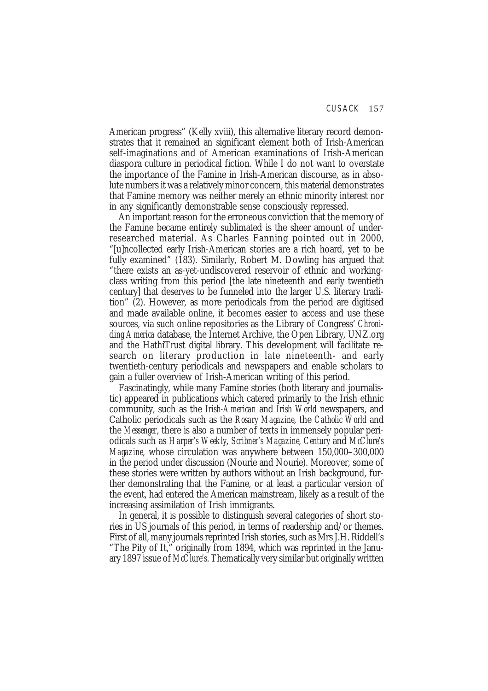American progress" (Kelly xviii), this alternative literary record demonstrates that it remained an significant element both of Irish-American self-imaginations and of American examinations of Irish-American diaspora culture in periodical fiction. While I do not want to overstate the importance of the Famine in Irish-American discourse, as in absolute numbers it was a relatively minor concern, this material demonstrates that Famine memory was neither merely an ethnic minority interest nor in any significantly demonstrable sense consciously repressed.

An important reason for the erroneous conviction that the memory of the Famine became entirely sublimated is the sheer amount of underresearched material. As Charles Fanning pointed out in 2000, "[u]ncollected early Irish-American stories are a rich hoard, yet to be fully examined" (183). Similarly, Robert M. Dowling has argued that "there exists an as-yet-undiscovered reservoir of ethnic and workingclass writing from this period [the late nineteenth and early twentieth century] that deserves to be funneled into the larger U.S. literary tradition" (2). However, as more periodicals from the period are digitised and made available online, it becomes easier to access and use these sources, via such online repositories as the Library of Congress' *Chronicling America* database, the Internet Archive, the Open Library, UNZ.org and the HathiTrust digital library. This development will facilitate research on literary production in late nineteenth- and early twentieth-century periodicals and newspapers and enable scholars to gain a fuller overview of Irish-American writing of this period.

Fascinatingly, while many Famine stories (both literary and journalistic) appeared in publications which catered primarily to the Irish ethnic community, such as the *Irish-American* and *Irish World* newspapers, and Catholic periodicals such as the *Rosary Magazine*, the *Catholic World* and the *Messenger*, there is also a number of texts in immensely popular periodicals such as *Harper's Weekly*, *Scribner's Magazine*, *Century* and *McClure's Magazine*, whose circulation was anywhere between 150,000–300,000 in the period under discussion (Nourie and Nourie). Moreover, some of these stories were written by authors without an Irish background, further demonstrating that the Famine, or at least a particular version of the event, had entered the American mainstream, likely as a result of the increasing assimilation of Irish immigrants.

In general, it is possible to distinguish several categories of short stories in US journals of this period, in terms of readership and/or themes. First of all, many journals reprinted Irish stories, such as Mrs J.H. Riddell's "The Pity of It," originally from 1894, which was reprinted in the January 1897 issue of *McClure's*. Thematically very similar but originally written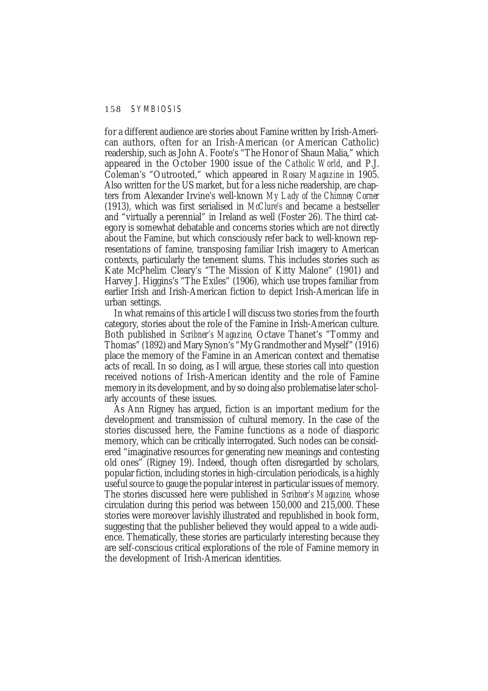for a different audience are stories about Famine written by Irish-American authors, often for an Irish-American (or American Catholic) readership, such as John A. Foote's "The Honor of Shaun Malia," which appeared in the October 1900 issue of the *Catholic World*, and P.J. Coleman's "Outrooted," which appeared in *Rosary Magazine* in 1905. Also written for the US market, but for a less niche readership, are chapters from Alexander Irvine's well-known *My Lady of the Chimney Corner* (1913), which was first serialised in *McClure's* and became a bestseller and "virtually a perennial" in Ireland as well (Foster 26). The third category is somewhat debatable and concerns stories which are not directly about the Famine, but which consciously refer back to well-known representations of famine, transposing familiar Irish imagery to American contexts, particularly the tenement slums. This includes stories such as Kate McPhelim Cleary's "The Mission of Kitty Malone" (1901) and Harvey J. Higgins's "The Exiles" (1906), which use tropes familiar from earlier Irish and Irish-American fiction to depict Irish-American life in urban settings.

In what remains of this article I will discuss two stories from the fourth category, stories about the role of the Famine in Irish-American culture. Both published in *Scribner's Magazine*, Octave Thanet's "Tommy and Thomas" (1892) and Mary Synon's "My Grandmother and Myself" (1916) place the memory of the Famine in an American context and thematise acts of recall. In so doing, as I will argue, these stories call into question received notions of Irish-American identity and the role of Famine memory in its development, and by so doing also problematise later scholarly accounts of these issues.

As Ann Rigney has argued, fiction is an important medium for the development and transmission of cultural memory. In the case of the stories discussed here, the Famine functions as a node of diasporic memory, which can be critically interrogated. Such nodes can be considered "imaginative resources for generating new meanings and contesting old ones" (Rigney 19). Indeed, though often disregarded by scholars, popular fiction, including stories in high-circulation periodicals, is a highly useful source to gauge the popular interest in particular issues of memory. The stories discussed here were published in *Scribner's Magazine*, whose circulation during this period was between 150,000 and 215,000. These stories were moreover lavishly illustrated and republished in book form, suggesting that the publisher believed they would appeal to a wide audience. Thematically, these stories are particularly interesting because they are self-conscious critical explorations of the role of Famine memory in the development of Irish-American identities.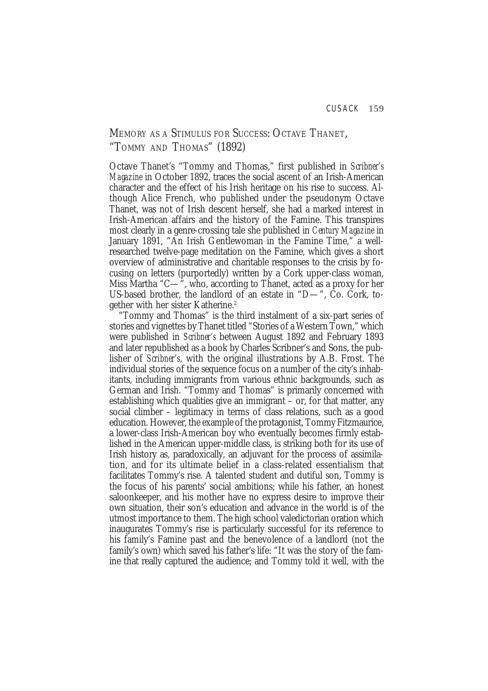# MEMORY AS A STIMULUS FOR SUCCESS: OCTAVE THANET, "TOMMY AND THOMAS" (1892)

Octave Thanet's "Tommy and Thomas," first published in *Scribner's Magazine* in October 1892, traces the social ascent of an Irish-American character and the effect of his Irish heritage on his rise to success. Although Alice French, who published under the pseudonym Octave Thanet, was not of Irish descent herself, she had a marked interest in Irish-American affairs and the history of the Famine. This transpires most clearly in a genre-crossing tale she published in *Century Magazine* in January 1891, "An Irish Gentlewoman in the Famine Time," a wellresearched twelve-page meditation on the Famine, which gives a short overview of administrative and charitable responses to the crisis by focusing on letters (purportedly) written by a Cork upper-class woman, Miss Martha "C—", who, according to Thanet, acted as a proxy for her US-based brother, the landlord of an estate in "D—", Co. Cork, together with her sister Katherine.2

"Tommy and Thomas" is the third instalment of a six-part series of stories and vignettes by Thanet titled "Stories of a Western Town," which were published in *Scribner's* between August 1892 and February 1893 and later republished as a book by Charles Scribner's and Sons, the publisher of *Scribner's*, with the original illustrations by A.B. Frost. The individual stories of the sequence focus on a number of the city's inhabitants, including immigrants from various ethnic backgrounds, such as German and Irish. "Tommy and Thomas" is primarily concerned with establishing which qualities give an immigrant – or, for that matter, any social climber – legitimacy in terms of class relations, such as a good education. However, the example of the protagonist, Tommy Fitzmaurice, a lower-class Irish-American boy who eventually becomes firmly established in the American upper-middle class, is striking both for its use of Irish history as, paradoxically, an adjuvant for the process of assimilation, and for its ultimate belief in a class-related essentialism that facilitates Tommy's rise. A talented student and dutiful son, Tommy is the focus of his parents' social ambitions; while his father, an honest saloonkeeper, and his mother have no express desire to improve their own situation, their son's education and advance in the world is of the utmost importance to them. The high school valedictorian oration which inaugurates Tommy's rise is particularly successful for its reference to his family's Famine past and the benevolence of a landlord (not the family's own) which saved his father's life: "It was the story of the famine that really captured the audience; and Tommy told it well, with the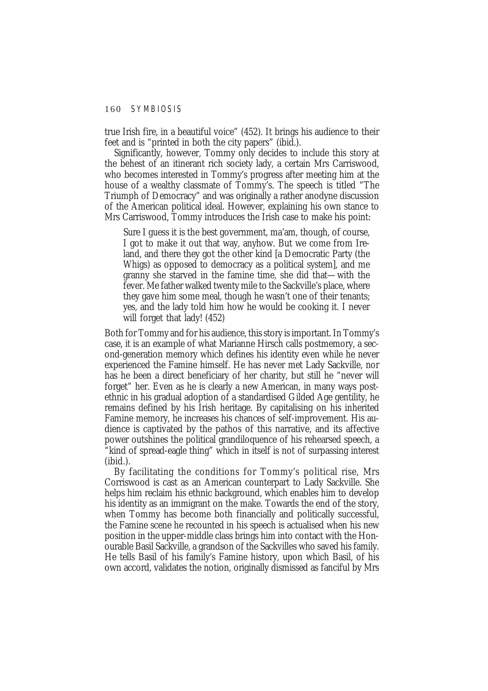true Irish fire, in a beautiful voice" (452). It brings his audience to their feet and is "printed in both the city papers" (ibid.).

Significantly, however, Tommy only decides to include this story at the behest of an itinerant rich society lady, a certain Mrs Carriswood, who becomes interested in Tommy's progress after meeting him at the house of a wealthy classmate of Tommy's. The speech is titled "The Triumph of Democracy" and was originally a rather anodyne discussion of the American political ideal. However, explaining his own stance to Mrs Carriswood, Tommy introduces the Irish case to make his point:

Sure I guess it is the best government, ma'am, though, of course, I got to make it out that way, anyhow. But we come from Ireland, and there they got the other kind [a Democratic Party (the Whigs) as opposed to democracy as a political system], and me granny she starved in the famine time, she did that—with the fever. Me father walked twenty mile to the Sackville's place, where they gave him some meal, though he wasn't one of their tenants; yes, and the lady told him how he would be cooking it. I never will forget that lady! (452)

Both for Tommy and for his audience, this story is important. In Tommy's case, it is an example of what Marianne Hirsch calls postmemory, a second-generation memory which defines his identity even while he never experienced the Famine himself. He has never met Lady Sackville, nor has he been a direct beneficiary of her charity, but still he "never will forget" her. Even as he is clearly a new American, in many ways postethnic in his gradual adoption of a standardised Gilded Age gentility, he remains defined by his Irish heritage. By capitalising on his inherited Famine memory, he increases his chances of self-improvement. His audience is captivated by the pathos of this narrative, and its affective power outshines the political grandiloquence of his rehearsed speech, a "kind of spread-eagle thing" which in itself is not of surpassing interest (ibid.).

By facilitating the conditions for Tommy's political rise, Mrs Corriswood is cast as an American counterpart to Lady Sackville. She helps him reclaim his ethnic background, which enables him to develop his identity as an immigrant on the make. Towards the end of the story, when Tommy has become both financially and politically successful, the Famine scene he recounted in his speech is actualised when his new position in the upper-middle class brings him into contact with the Honourable Basil Sackville, a grandson of the Sackvilles who saved his family. He tells Basil of his family's Famine history, upon which Basil, of his own accord, validates the notion, originally dismissed as fanciful by Mrs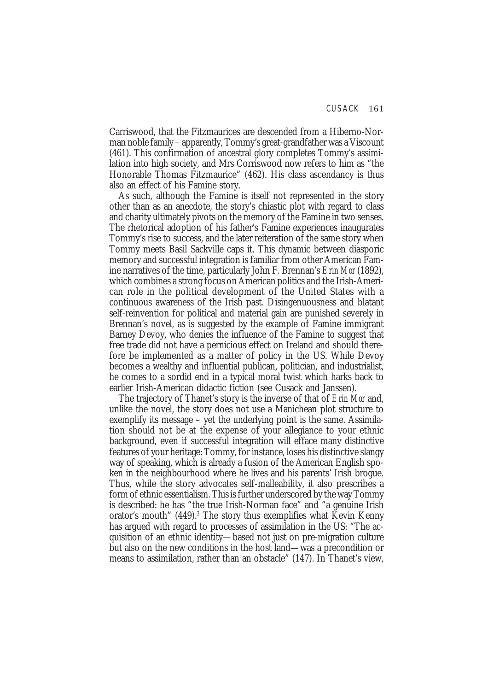Carriswood, that the Fitzmaurices are descended from a Hiberno-Norman noble family – apparently, Tommy's great-grandfather was a Viscount (461). This confirmation of ancestral glory completes Tommy's assimilation into high society, and Mrs Corriswood now refers to him as "the Honorable Thomas Fitzmaurice" (462). His class ascendancy is thus also an effect of his Famine story.

As such, although the Famine is itself not represented in the story other than as an anecdote, the story's chiastic plot with regard to class and charity ultimately pivots on the memory of the Famine in two senses. The rhetorical adoption of his father's Famine experiences inaugurates Tommy's rise to success, and the later reiteration of the same story when Tommy meets Basil Sackville caps it. This dynamic between diasporic memory and successful integration is familiar from other American Famine narratives of the time, particularly John F. Brennan's *Erin Mor* (1892), which combines a strong focus on American politics and the Irish-American role in the political development of the United States with a continuous awareness of the Irish past. Disingenuousness and blatant self-reinvention for political and material gain are punished severely in Brennan's novel, as is suggested by the example of Famine immigrant Barney Devoy, who denies the influence of the Famine to suggest that free trade did not have a pernicious effect on Ireland and should therefore be implemented as a matter of policy in the US. While Devoy becomes a wealthy and influential publican, politician, and industrialist, he comes to a sordid end in a typical moral twist which harks back to earlier Irish-American didactic fiction (see Cusack and Janssen).

The trajectory of Thanet's story is the inverse of that of *Erin Mor* and, unlike the novel, the story does not use a Manichean plot structure to exemplify its message – yet the underlying point is the same. Assimilation should not be at the expense of your allegiance to your ethnic background, even if successful integration will efface many distinctive features of your heritage: Tommy, for instance, loses his distinctive slangy way of speaking, which is already a fusion of the American English spoken in the neighbourhood where he lives and his parents' Irish brogue. Thus, while the story advocates self-malleability, it also prescribes a form of ethnic essentialism. This is further underscored by the way Tommy is described: he has "the true Irish-Norman face" and "a genuine Irish orator's mouth" (449).<sup>3</sup> The story thus exemplifies what Kevin Kenny has argued with regard to processes of assimilation in the US: "The acquisition of an ethnic identity—based not just on pre-migration culture but also on the new conditions in the host land—was a precondition or means to assimilation, rather than an obstacle" (147). In Thanet's view,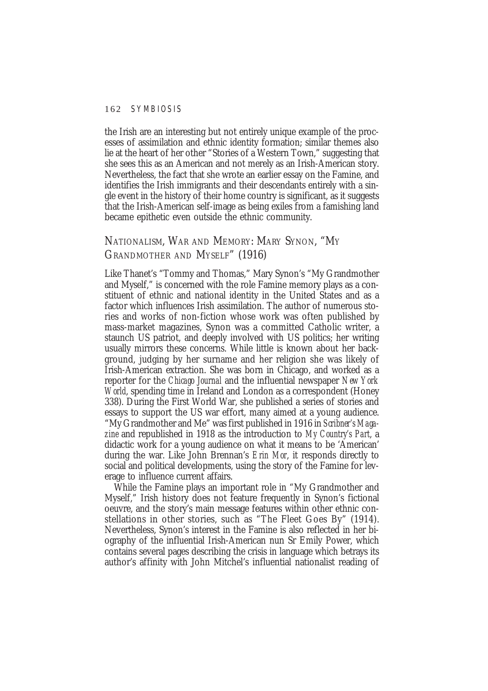the Irish are an interesting but not entirely unique example of the processes of assimilation and ethnic identity formation; similar themes also lie at the heart of her other "Stories of a Western Town," suggesting that she sees this as an American and not merely as an Irish-American story. Nevertheless, the fact that she wrote an earlier essay on the Famine, and identifies the Irish immigrants and their descendants entirely with a single event in the history of their home country is significant, as it suggests that the Irish-American self-image as being exiles from a famishing land became epithetic even outside the ethnic community.

# NATIONALISM, WAR AND MEMORY: MARY SYNON, "MY GRANDMOTHER AND MYSELF" (1916)

Like Thanet's "Tommy and Thomas," Mary Synon's "My Grandmother and Myself," is concerned with the role Famine memory plays as a constituent of ethnic and national identity in the United States and as a factor which influences Irish assimilation. The author of numerous stories and works of non-fiction whose work was often published by mass-market magazines, Synon was a committed Catholic writer, a staunch US patriot, and deeply involved with US politics; her writing usually mirrors these concerns. While little is known about her background, judging by her surname and her religion she was likely of Irish-American extraction. She was born in Chicago, and worked as a reporter for the *Chicago Journal* and the influential newspaper *New York World*, spending time in Ireland and London as a correspondent (Honey 338). During the First World War, she published a series of stories and essays to support the US war effort, many aimed at a young audience. "My Grandmother and Me" was first published in 1916 in *Scribner's Magazine* and republished in 1918 as the introduction to *My Country's Part*, a didactic work for a young audience on what it means to be 'American' during the war. Like John Brennan's *Erin Mor*, it responds directly to social and political developments, using the story of the Famine for leverage to influence current affairs.

While the Famine plays an important role in "My Grandmother and Myself," Irish history does not feature frequently in Synon's fictional oeuvre, and the story's main message features within other ethnic constellations in other stories, such as "The Fleet Goes By" (1914). Nevertheless, Synon's interest in the Famine is also reflected in her biography of the influential Irish-American nun Sr Emily Power, which contains several pages describing the crisis in language which betrays its author's affinity with John Mitchel's influential nationalist reading of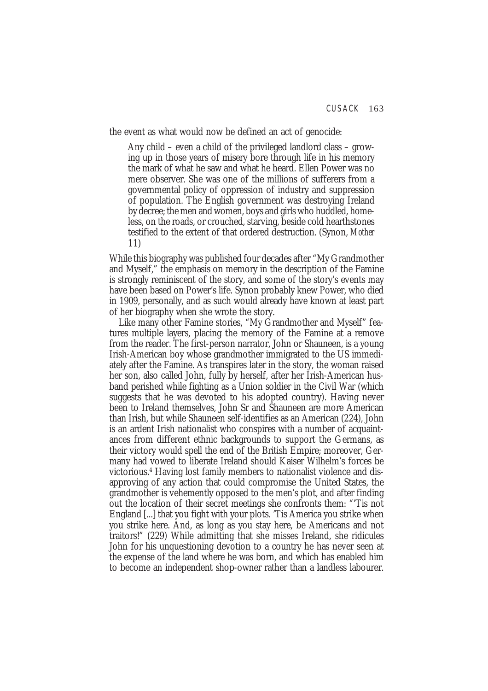the event as what would now be defined an act of genocide:

Any child – even a child of the privileged landlord class – growing up in those years of misery bore through life in his memory the mark of what he saw and what he heard. Ellen Power was no mere observer. She was one of the millions of sufferers from a governmental policy of oppression of industry and suppression of population. The English government was destroying Ireland by decree; the men and women, boys and girls who huddled, homeless, on the roads, or crouched, starving, beside cold hearthstones testified to the extent of that ordered destruction. (Synon, *Mother* 11)

While this biography was published four decades after "My Grandmother and Myself," the emphasis on memory in the description of the Famine is strongly reminiscent of the story, and some of the story's events may have been based on Power's life. Synon probably knew Power, who died in 1909, personally, and as such would already have known at least part of her biography when she wrote the story.

Like many other Famine stories, "My Grandmother and Myself" features multiple layers, placing the memory of the Famine at a remove from the reader. The first-person narrator, John or Shauneen, is a young Irish-American boy whose grandmother immigrated to the US immediately after the Famine. As transpires later in the story, the woman raised her son, also called John, fully by herself, after her Irish-American husband perished while fighting as a Union soldier in the Civil War (which suggests that he was devoted to his adopted country). Having never been to Ireland themselves, John Sr and Shauneen are more American than Irish, but while Shauneen self-identifies as an American (224), John is an ardent Irish nationalist who conspires with a number of acquaintances from different ethnic backgrounds to support the Germans, as their victory would spell the end of the British Empire; moreover, Germany had vowed to liberate Ireland should Kaiser Wilhelm's forces be victorious.4 Having lost family members to nationalist violence and disapproving of any action that could compromise the United States, the grandmother is vehemently opposed to the men's plot, and after finding out the location of their secret meetings she confronts them: "'Tis not England [...] that you fight with your plots. 'Tis America you strike when you strike here. And, as long as you stay here, be Americans and not traitors!" (229) While admitting that she misses Ireland, she ridicules John for his unquestioning devotion to a country he has never seen at the expense of the land where he was born, and which has enabled him to become an independent shop-owner rather than a landless labourer.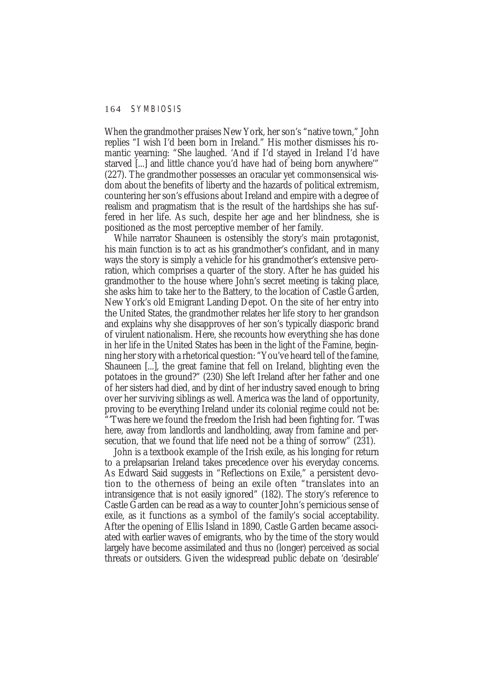When the grandmother praises New York, her son's "native town," John replies "I wish I'd been born in Ireland." His mother dismisses his romantic yearning: "She laughed. 'And if I'd stayed in Ireland I'd have starved [...] and little chance you'd have had of being born anywhere'" (227). The grandmother possesses an oracular yet commonsensical wisdom about the benefits of liberty and the hazards of political extremism, countering her son's effusions about Ireland and empire with a degree of realism and pragmatism that is the result of the hardships she has suffered in her life. As such, despite her age and her blindness, she is positioned as the most perceptive member of her family.

While narrator Shauneen is ostensibly the story's main protagonist, his main function is to act as his grandmother's confidant, and in many ways the story is simply a vehicle for his grandmother's extensive peroration, which comprises a quarter of the story. After he has guided his grandmother to the house where John's secret meeting is taking place, she asks him to take her to the Battery, to the location of Castle Garden, New York's old Emigrant Landing Depot. On the site of her entry into the United States, the grandmother relates her life story to her grandson and explains why she disapproves of her son's typically diasporic brand of virulent nationalism. Here, she recounts how everything she has done in her life in the United States has been in the light of the Famine, beginning her story with a rhetorical question: "You've heard tell of the famine, Shauneen [...], the great famine that fell on Ireland, blighting even the potatoes in the ground?" (230) She left Ireland after her father and one of her sisters had died, and by dint of her industry saved enough to bring over her surviving siblings as well. America was the land of opportunity, proving to be everything Ireland under its colonial regime could not be: "'Twas here we found the freedom the Irish had been fighting for. 'Twas here, away from landlords and landholding, away from famine and persecution, that we found that life need not be a thing of sorrow" (231).

John is a textbook example of the Irish exile, as his longing for return to a prelapsarian Ireland takes precedence over his everyday concerns. As Edward Said suggests in "Reflections on Exile," a persistent devotion to the otherness of being an exile often "translates into an intransigence that is not easily ignored" (182). The story's reference to Castle Garden can be read as a way to counter John's pernicious sense of exile, as it functions as a symbol of the family's social acceptability. After the opening of Ellis Island in 1890, Castle Garden became associated with earlier waves of emigrants, who by the time of the story would largely have become assimilated and thus no (longer) perceived as social threats or outsiders. Given the widespread public debate on 'desirable'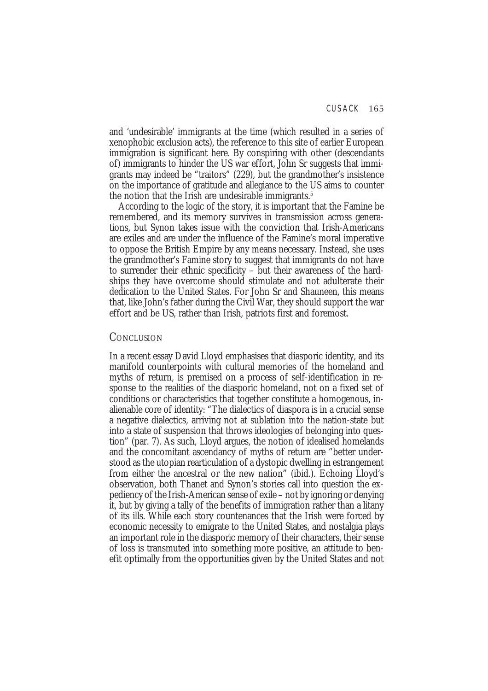and 'undesirable' immigrants at the time (which resulted in a series of xenophobic exclusion acts), the reference to this site of earlier European immigration is significant here. By conspiring with other (descendants of) immigrants to hinder the US war effort, John Sr suggests that immigrants may indeed be "traitors" (229), but the grandmother's insistence on the importance of gratitude and allegiance to the US aims to counter the notion that the Irish are undesirable immigrants.<sup>5</sup>

According to the logic of the story, it is important that the Famine be remembered, and its memory survives in transmission across generations, but Synon takes issue with the conviction that Irish-Americans are exiles and are under the influence of the Famine's moral imperative to oppose the British Empire by any means necessary. Instead, she uses the grandmother's Famine story to suggest that immigrants do not have to surrender their ethnic specificity – but their awareness of the hardships they have overcome should stimulate and not adulterate their dedication to the United States. For John Sr and Shauneen, this means that, like John's father during the Civil War, they should support the war effort and be US, rather than Irish, patriots first and foremost.

## **CONCLUSION**

In a recent essay David Lloyd emphasises that diasporic identity, and its manifold counterpoints with cultural memories of the homeland and myths of return, is premised on a process of self-identification in response to the realities of the diasporic homeland, not on a fixed set of conditions or characteristics that together constitute a homogenous, inalienable core of identity: "The dialectics of diaspora is in a crucial sense a negative dialectics, arriving not at sublation into the nation-state but into a state of suspension that throws ideologies of belonging into question" (par. 7). As such, Lloyd argues, the notion of idealised homelands and the concomitant ascendancy of myths of return are "better understood as the utopian rearticulation of a dystopic dwelling in estrangement from either the ancestral or the new nation" (ibid.). Echoing Lloyd's observation, both Thanet and Synon's stories call into question the expediency of the Irish-American sense of exile – not by ignoring or denying it, but by giving a tally of the benefits of immigration rather than a litany of its ills. While each story countenances that the Irish were forced by economic necessity to emigrate to the United States, and nostalgia plays an important role in the diasporic memory of their characters, their sense of loss is transmuted into something more positive, an attitude to benefit optimally from the opportunities given by the United States and not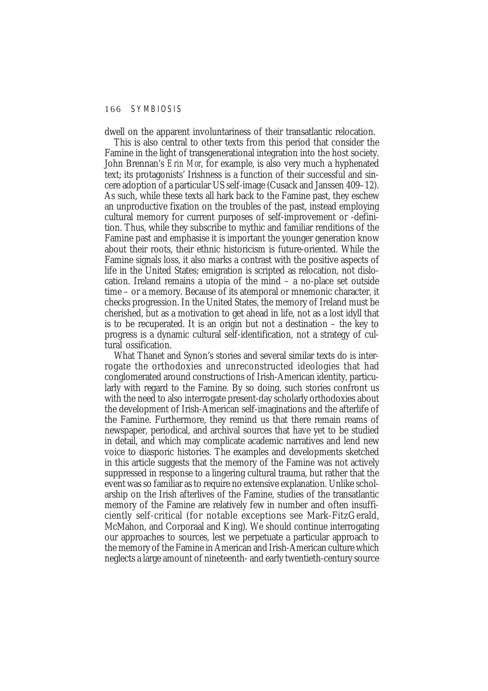dwell on the apparent involuntariness of their transatlantic relocation.

This is also central to other texts from this period that consider the Famine in the light of transgenerational integration into the host society. John Brennan's *Erin Mor*, for example, is also very much a hyphenated text; its protagonists' Irishness is a function of their successful and sincere adoption of a particular US self-image (Cusack and Janssen 409–12). As such, while these texts all hark back to the Famine past, they eschew an unproductive fixation on the troubles of the past, instead employing cultural memory for current purposes of self-improvement or -definition. Thus, while they subscribe to mythic and familiar renditions of the Famine past and emphasise it is important the younger generation know about their roots, their ethnic historicism is future-oriented. While the Famine signals loss, it also marks a contrast with the positive aspects of life in the United States; emigration is scripted as relocation, not dislocation. Ireland remains a utopia of the mind – a no-place set outside time – or a memory. Because of its atemporal or mnemonic character, it checks progression. In the United States, the memory of Ireland must be cherished, but as a motivation to get ahead in life, not as a lost idyll that is to be recuperated. It is an origin but not a destination – the key to progress is a dynamic cultural self-identification, not a strategy of cultural ossification.

What Thanet and Synon's stories and several similar texts do is interrogate the orthodoxies and unreconstructed ideologies that had conglomerated around constructions of Irish-American identity, particularly with regard to the Famine. By so doing, such stories confront us with the need to also interrogate present-day scholarly orthodoxies about the development of Irish-American self-imaginations and the afterlife of the Famine. Furthermore, they remind us that there remain reams of newspaper, periodical, and archival sources that have yet to be studied in detail, and which may complicate academic narratives and lend new voice to diasporic histories. The examples and developments sketched in this article suggests that the memory of the Famine was not actively suppressed in response to a lingering cultural trauma, but rather that the event was so familiar as to require no extensive explanation. Unlike scholarship on the Irish afterlives of the Famine, studies of the transatlantic memory of the Famine are relatively few in number and often insufficiently self-critical (for notable exceptions see Mark-FitzGerald, McMahon, and Corporaal and King). We should continue interrogating our approaches to sources, lest we perpetuate a particular approach to the memory of the Famine in American and Irish-American culture which neglects a large amount of nineteenth- and early twentieth-century source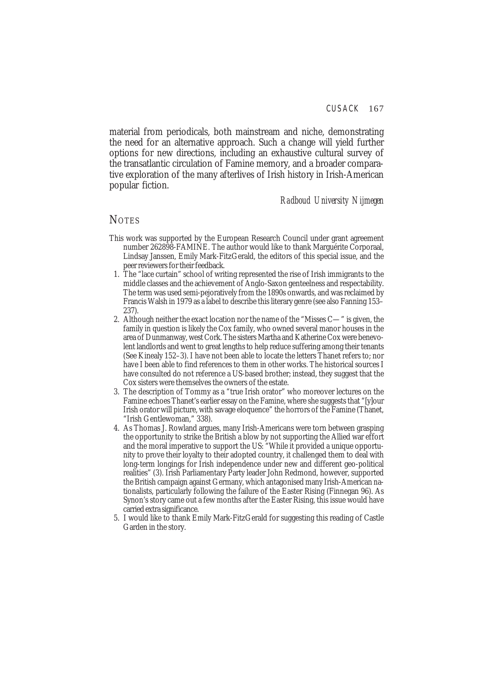material from periodicals, both mainstream and niche, demonstrating the need for an alternative approach. Such a change will yield further options for new directions, including an exhaustive cultural survey of the transatlantic circulation of Famine memory, and a broader comparative exploration of the many afterlives of Irish history in Irish-American popular fiction.

*Radboud University Nijmegen*

## **NOTES**

- This work was supported by the European Research Council under grant agreement number 262898-FAMINE. The author would like to thank Marguérite Corporaal, Lindsay Janssen, Emily Mark-FitzGerald, the editors of this special issue, and the peer reviewers for their feedback.
- 1. The "lace curtain" school of writing represented the rise of Irish immigrants to the middle classes and the achievement of Anglo-Saxon genteelness and respectability. The term was used semi-pejoratively from the 1890s onwards, and was reclaimed by Francis Walsh in 1979 as a label to describe this literary genre (see also Fanning 153– 237).
- 2. Although neither the exact location nor the name of the "Misses C—" is given, the family in question is likely the Cox family, who owned several manor houses in the area of Dunmanway, west Cork. The sisters Martha and Katherine Cox were benevolent landlords and went to great lengths to help reduce suffering among their tenants (See Kinealy 152–3). I have not been able to locate the letters Thanet refers to; nor have I been able to find references to them in other works. The historical sources I have consulted do not reference a US-based brother; instead, they suggest that the Cox sisters were themselves the owners of the estate.
- 3. The description of Tommy as a "true Irish orator" who moreover lectures on the Famine echoes Thanet's earlier essay on the Famine, where she suggests that "[y]our Irish orator will picture, with savage eloquence" the horrors of the Famine (Thanet, "Irish Gentlewoman," 338).
- 4. As Thomas J. Rowland argues, many Irish-Americans were torn between grasping the opportunity to strike the British a blow by not supporting the Allied war effort and the moral imperative to support the US: "While it provided a unique opportunity to prove their loyalty to their adopted country, it challenged them to deal with long-term longings for Irish independence under new and different geo-political realities" (3). Irish Parliamentary Party leader John Redmond, however, supported the British campaign against Germany, which antagonised many Irish-American nationalists, particularly following the failure of the Easter Rising (Finnegan 96). As Synon's story came out a few months after the Easter Rising, this issue would have carried extra significance.
- 5. I would like to thank Emily Mark-FitzGerald for suggesting this reading of Castle Garden in the story.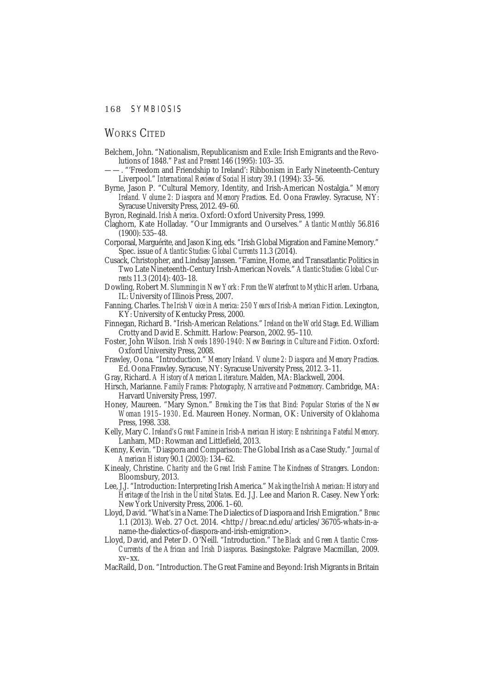# WORKS CITED

- Belchem, John. "Nationalism, Republicanism and Exile: Irish Emigrants and the Revolutions of 1848." *Past and Present* 146 (1995): 103–35.
- ——. "'Freedom and Friendship to Ireland': Ribbonism in Early Nineteenth-Century Liverpool." *International Review of Social History* 39.1 (1994): 33–56.
- Byrne, Jason P. "Cultural Memory, Identity, and Irish-American Nostalgia." *Memory Ireland. Volume 2: Diaspora and Memory Practices*. Ed. Oona Frawley. Syracuse, NY: Syracuse University Press, 2012. 49–60.

Byron, Reginald. *Irish America*. Oxford: Oxford University Press, 1999.

- Claghorn, Kate Holladay. "Our Immigrants and Ourselves." *Atlantic Monthly* 56.816 (1900): 535–48.
- Corporaal, Marguérite, and Jason King, eds. "Irish Global Migration and Famine Memory." Spec. issue of *Atlantic Studies: Global Currents* 11.3 (2014).
- Cusack, Christopher, and Lindsay Janssen. "Famine, Home, and Transatlantic Politics in Two Late Nineteenth-Century Irish-American Novels." *Atlantic Studies: Global Currents* 11.3 (2014): 403–18.
- Dowling, Robert M. *Slumming in New York: From the Waterfront to Mythic Harlem*. Urbana, IL: University of Illinois Press, 2007.
- Fanning, Charles. *The Irish Voice in America: 250 Years of Irish-American Fiction*. Lexington, KY: University of Kentucky Press, 2000.
- Finnegan, Richard B. "Irish-American Relations." *Ireland on the World Stage*. Ed. William Crotty and David E. Schmitt. Harlow: Pearson, 2002. 95–110.
- Foster, John Wilson. *Irish Novels 1890-1940: New Bearings in Culture and Fiction*. Oxford: Oxford University Press, 2008.
- Frawley, Oona. "Introduction." *Memory Ireland. Volume 2: Diaspora and Memory Practices*. Ed. Oona Frawley. Syracuse, NY: Syracuse University Press, 2012. 3–11.
- Gray, Richard. *A History of American Literature*. Malden, MA: Blackwell, 2004.
- Hirsch, Marianne. *Family Frames: Photography, Narrative and Postmemory*. Cambridge, MA: Harvard University Press, 1997.
- Honey, Maureen. "Mary Synon." *Breaking the Ties that Bind: Popular Stories of the New Woman 1915–1930*. Ed. Maureen Honey. Norman, OK: University of Oklahoma Press, 1998. 338.
- Kelly, Mary C. *Ireland's Great Famine in Irish-American History: Enshrining a Fateful Memory*. Lanham, MD: Rowman and Littlefield, 2013.
- Kenny, Kevin. "Diaspora and Comparison: The Global Irish as a Case Study." *Journal of American History* 90.1 (2003): 134–62.
- Kinealy, Christine. *Charity and the Great Irish Famine: The Kindness of Strangers*. London: Bloomsbury, 2013.
- Lee, J.J. "Introduction: Interpreting Irish America." *Making the Irish American: History and Heritage of the Irish in the United States*. Ed. J.J. Lee and Marion R. Casey. New York: New York University Press, 2006. 1–60.
- Lloyd, David. "What's in a Name: The Dialectics of Diaspora and Irish Emigration." *Breac* 1.1 (2013). Web. 27 Oct. 2014. <http://breac.nd.edu/articles/36705-whats-in-aname-the-dialectics-of-diaspora-and-irish-emigration>.
- Lloyd, David, and Peter D. O'Neill. "Introduction." *The Black and Green Atlantic: Cross-Currents of the African and Irish Diasporas*. Basingstoke: Palgrave Macmillan, 2009. xv–xx.
- MacRaild, Don. "Introduction. The Great Famine and Beyond: Irish Migrants in Britain